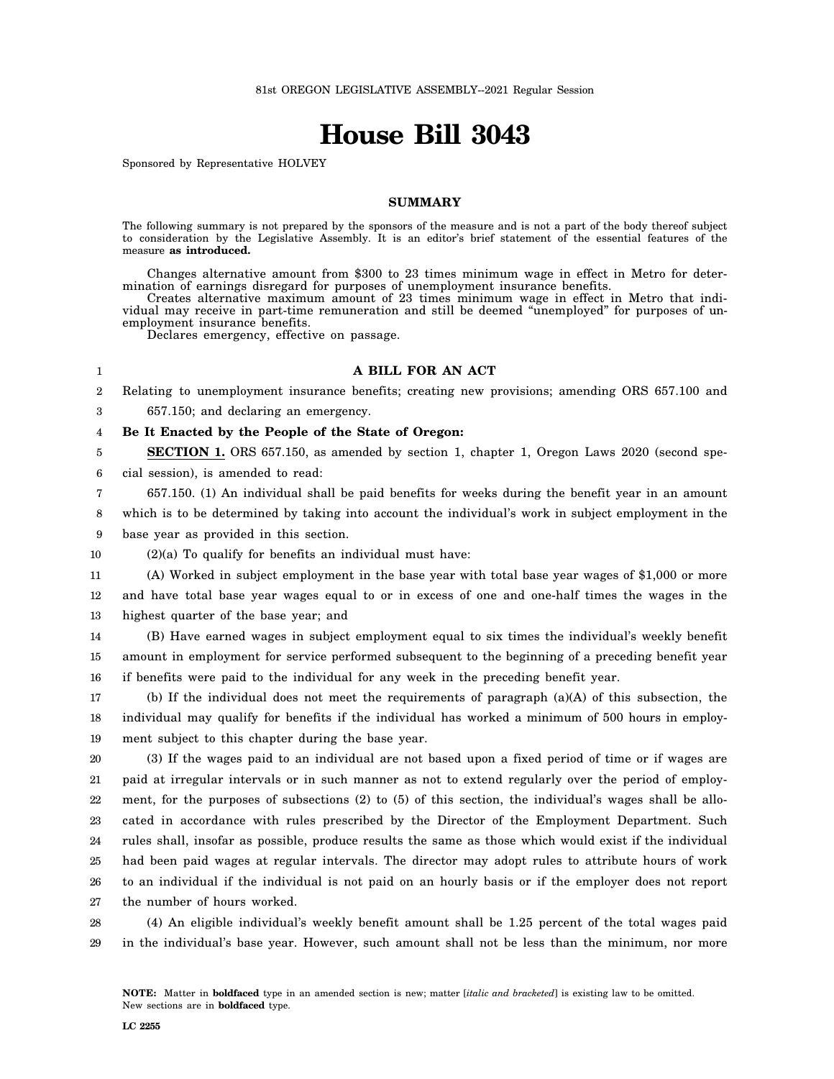# **House Bill 3043**

Sponsored by Representative HOLVEY

## **SUMMARY**

The following summary is not prepared by the sponsors of the measure and is not a part of the body thereof subject to consideration by the Legislative Assembly. It is an editor's brief statement of the essential features of the measure **as introduced.**

Changes alternative amount from \$300 to 23 times minimum wage in effect in Metro for determination of earnings disregard for purposes of unemployment insurance benefits.

Creates alternative maximum amount of 23 times minimum wage in effect in Metro that individual may receive in part-time remuneration and still be deemed "unemployed" for purposes of unemployment insurance benefits.

Declares emergency, effective on passage.

### **A BILL FOR AN ACT**

2 Relating to unemployment insurance benefits; creating new provisions; amending ORS 657.100 and

3 657.150; and declaring an emergency.

1

4 **Be It Enacted by the People of the State of Oregon:**

5 6 **SECTION 1.** ORS 657.150, as amended by section 1, chapter 1, Oregon Laws 2020 (second special session), is amended to read:

7 8 657.150. (1) An individual shall be paid benefits for weeks during the benefit year in an amount which is to be determined by taking into account the individual's work in subject employment in the

9 base year as provided in this section.

10 (2)(a) To qualify for benefits an individual must have:

11 12 13 (A) Worked in subject employment in the base year with total base year wages of \$1,000 or more and have total base year wages equal to or in excess of one and one-half times the wages in the highest quarter of the base year; and

14 15 16 (B) Have earned wages in subject employment equal to six times the individual's weekly benefit amount in employment for service performed subsequent to the beginning of a preceding benefit year if benefits were paid to the individual for any week in the preceding benefit year.

17 18 19 (b) If the individual does not meet the requirements of paragraph (a)(A) of this subsection, the individual may qualify for benefits if the individual has worked a minimum of 500 hours in employment subject to this chapter during the base year.

20 21 22 23 24 25 26 27 (3) If the wages paid to an individual are not based upon a fixed period of time or if wages are paid at irregular intervals or in such manner as not to extend regularly over the period of employment, for the purposes of subsections (2) to (5) of this section, the individual's wages shall be allocated in accordance with rules prescribed by the Director of the Employment Department. Such rules shall, insofar as possible, produce results the same as those which would exist if the individual had been paid wages at regular intervals. The director may adopt rules to attribute hours of work to an individual if the individual is not paid on an hourly basis or if the employer does not report the number of hours worked.

28 29 (4) An eligible individual's weekly benefit amount shall be 1.25 percent of the total wages paid in the individual's base year. However, such amount shall not be less than the minimum, nor more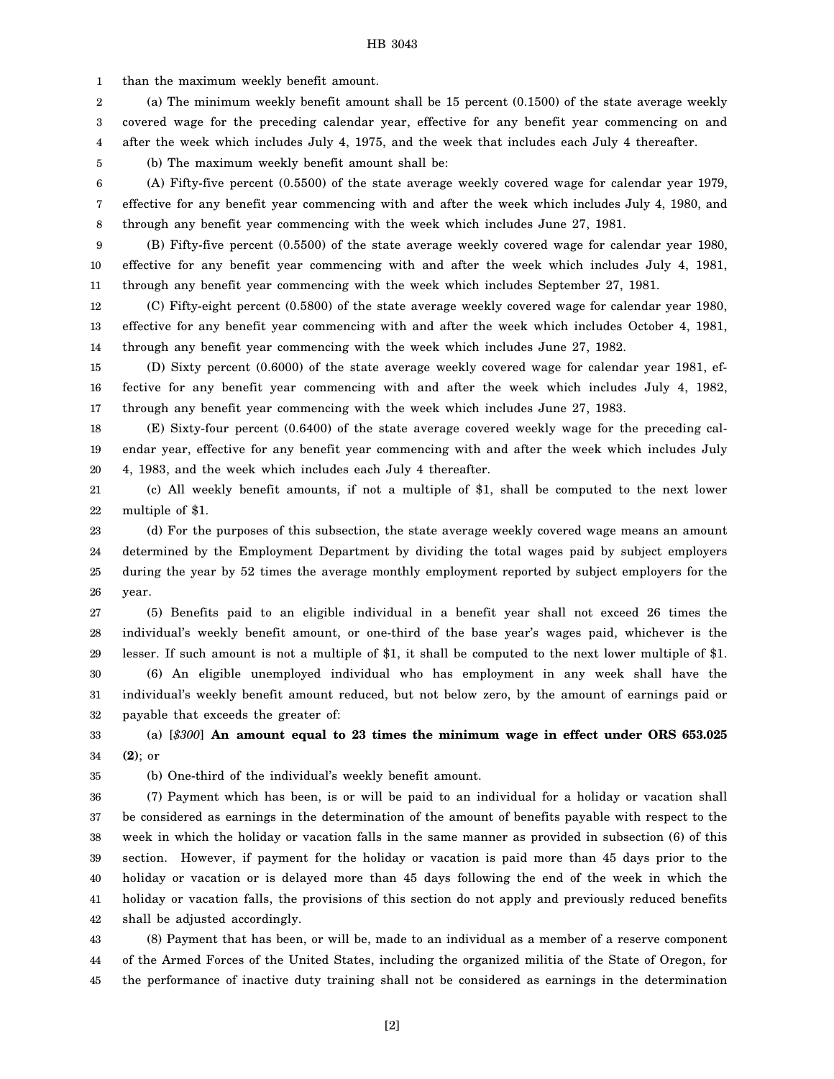HB 3043

1 than the maximum weekly benefit amount.

2 3 4 (a) The minimum weekly benefit amount shall be 15 percent (0.1500) of the state average weekly covered wage for the preceding calendar year, effective for any benefit year commencing on and after the week which includes July 4, 1975, and the week that includes each July 4 thereafter.

(b) The maximum weekly benefit amount shall be:

6 7 8 (A) Fifty-five percent (0.5500) of the state average weekly covered wage for calendar year 1979, effective for any benefit year commencing with and after the week which includes July 4, 1980, and through any benefit year commencing with the week which includes June 27, 1981.

9 10 11 (B) Fifty-five percent (0.5500) of the state average weekly covered wage for calendar year 1980, effective for any benefit year commencing with and after the week which includes July 4, 1981, through any benefit year commencing with the week which includes September 27, 1981.

12 13 14 (C) Fifty-eight percent (0.5800) of the state average weekly covered wage for calendar year 1980, effective for any benefit year commencing with and after the week which includes October 4, 1981, through any benefit year commencing with the week which includes June 27, 1982.

15 16 17 (D) Sixty percent (0.6000) of the state average weekly covered wage for calendar year 1981, effective for any benefit year commencing with and after the week which includes July 4, 1982, through any benefit year commencing with the week which includes June 27, 1983.

18 19 20 (E) Sixty-four percent (0.6400) of the state average covered weekly wage for the preceding calendar year, effective for any benefit year commencing with and after the week which includes July 4, 1983, and the week which includes each July 4 thereafter.

21 22 (c) All weekly benefit amounts, if not a multiple of \$1, shall be computed to the next lower multiple of \$1.

23 24 25 26 (d) For the purposes of this subsection, the state average weekly covered wage means an amount determined by the Employment Department by dividing the total wages paid by subject employers during the year by 52 times the average monthly employment reported by subject employers for the year.

27 28 29 30 31 32 (5) Benefits paid to an eligible individual in a benefit year shall not exceed 26 times the individual's weekly benefit amount, or one-third of the base year's wages paid, whichever is the lesser. If such amount is not a multiple of \$1, it shall be computed to the next lower multiple of \$1. (6) An eligible unemployed individual who has employment in any week shall have the individual's weekly benefit amount reduced, but not below zero, by the amount of earnings paid or payable that exceeds the greater of:

33 34 (a) [*\$300*] **An amount equal to 23 times the minimum wage in effect under ORS 653.025 (2)**; or

35

5

(b) One-third of the individual's weekly benefit amount.

36 37 38 39 40 41 42 (7) Payment which has been, is or will be paid to an individual for a holiday or vacation shall be considered as earnings in the determination of the amount of benefits payable with respect to the week in which the holiday or vacation falls in the same manner as provided in subsection (6) of this section. However, if payment for the holiday or vacation is paid more than 45 days prior to the holiday or vacation or is delayed more than 45 days following the end of the week in which the holiday or vacation falls, the provisions of this section do not apply and previously reduced benefits shall be adjusted accordingly.

43 44 45 (8) Payment that has been, or will be, made to an individual as a member of a reserve component of the Armed Forces of the United States, including the organized militia of the State of Oregon, for the performance of inactive duty training shall not be considered as earnings in the determination

[2]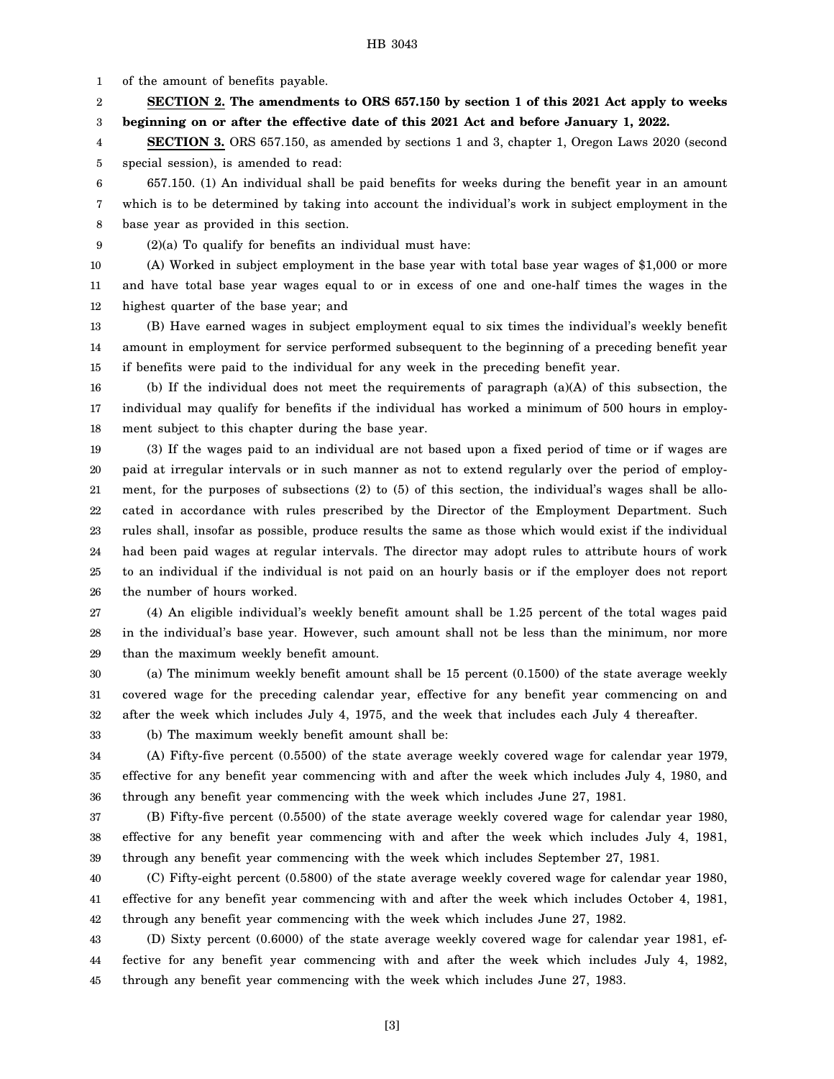1 of the amount of benefits payable.

2 3 **SECTION 2. The amendments to ORS 657.150 by section 1 of this 2021 Act apply to weeks beginning on or after the effective date of this 2021 Act and before January 1, 2022.**

4 5 **SECTION 3.** ORS 657.150, as amended by sections 1 and 3, chapter 1, Oregon Laws 2020 (second special session), is amended to read:

6 7 8 657.150. (1) An individual shall be paid benefits for weeks during the benefit year in an amount which is to be determined by taking into account the individual's work in subject employment in the base year as provided in this section.

9 (2)(a) To qualify for benefits an individual must have:

10 11 12 (A) Worked in subject employment in the base year with total base year wages of \$1,000 or more and have total base year wages equal to or in excess of one and one-half times the wages in the highest quarter of the base year; and

13 14 15 (B) Have earned wages in subject employment equal to six times the individual's weekly benefit amount in employment for service performed subsequent to the beginning of a preceding benefit year if benefits were paid to the individual for any week in the preceding benefit year.

16 17 18 (b) If the individual does not meet the requirements of paragraph (a)(A) of this subsection, the individual may qualify for benefits if the individual has worked a minimum of 500 hours in employment subject to this chapter during the base year.

19 20 21 22 23 24 25 26 (3) If the wages paid to an individual are not based upon a fixed period of time or if wages are paid at irregular intervals or in such manner as not to extend regularly over the period of employment, for the purposes of subsections (2) to (5) of this section, the individual's wages shall be allocated in accordance with rules prescribed by the Director of the Employment Department. Such rules shall, insofar as possible, produce results the same as those which would exist if the individual had been paid wages at regular intervals. The director may adopt rules to attribute hours of work to an individual if the individual is not paid on an hourly basis or if the employer does not report the number of hours worked.

27 28 29 (4) An eligible individual's weekly benefit amount shall be 1.25 percent of the total wages paid in the individual's base year. However, such amount shall not be less than the minimum, nor more than the maximum weekly benefit amount.

30 31 32 (a) The minimum weekly benefit amount shall be 15 percent (0.1500) of the state average weekly covered wage for the preceding calendar year, effective for any benefit year commencing on and after the week which includes July 4, 1975, and the week that includes each July 4 thereafter.

33 (b) The maximum weekly benefit amount shall be:

34 35 36 (A) Fifty-five percent (0.5500) of the state average weekly covered wage for calendar year 1979, effective for any benefit year commencing with and after the week which includes July 4, 1980, and through any benefit year commencing with the week which includes June 27, 1981.

37 38 39 (B) Fifty-five percent (0.5500) of the state average weekly covered wage for calendar year 1980, effective for any benefit year commencing with and after the week which includes July 4, 1981, through any benefit year commencing with the week which includes September 27, 1981.

40 41 42 (C) Fifty-eight percent (0.5800) of the state average weekly covered wage for calendar year 1980, effective for any benefit year commencing with and after the week which includes October 4, 1981, through any benefit year commencing with the week which includes June 27, 1982.

43 44 45 (D) Sixty percent (0.6000) of the state average weekly covered wage for calendar year 1981, effective for any benefit year commencing with and after the week which includes July 4, 1982, through any benefit year commencing with the week which includes June 27, 1983.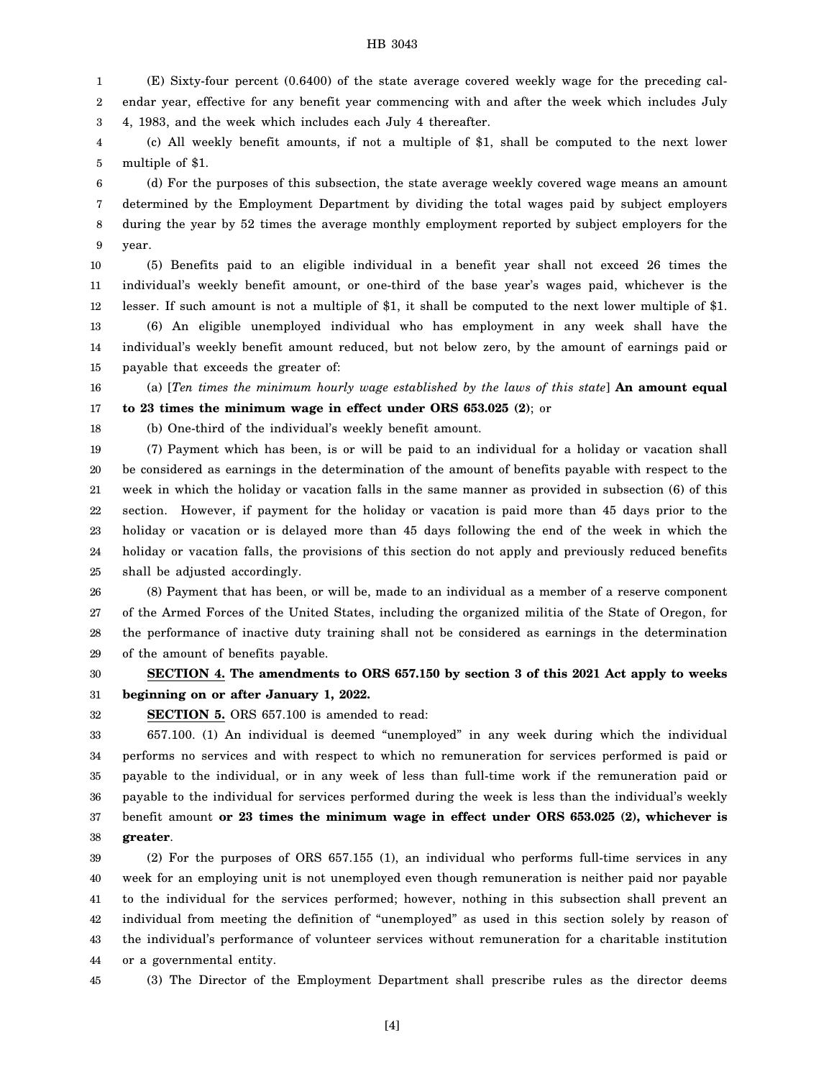#### HB 3043

1 2 3 (E) Sixty-four percent (0.6400) of the state average covered weekly wage for the preceding calendar year, effective for any benefit year commencing with and after the week which includes July 4, 1983, and the week which includes each July 4 thereafter.

4 5 (c) All weekly benefit amounts, if not a multiple of \$1, shall be computed to the next lower multiple of \$1.

6 7 8 9 (d) For the purposes of this subsection, the state average weekly covered wage means an amount determined by the Employment Department by dividing the total wages paid by subject employers during the year by 52 times the average monthly employment reported by subject employers for the year.

10 11 12 13 14 (5) Benefits paid to an eligible individual in a benefit year shall not exceed 26 times the individual's weekly benefit amount, or one-third of the base year's wages paid, whichever is the lesser. If such amount is not a multiple of \$1, it shall be computed to the next lower multiple of \$1. (6) An eligible unemployed individual who has employment in any week shall have the individual's weekly benefit amount reduced, but not below zero, by the amount of earnings paid or

15 payable that exceeds the greater of:

16 17 (a) [*Ten times the minimum hourly wage established by the laws of this state*] **An amount equal to 23 times the minimum wage in effect under ORS 653.025 (2)**; or

18

(b) One-third of the individual's weekly benefit amount.

19 20 21 22 23 24 25 (7) Payment which has been, is or will be paid to an individual for a holiday or vacation shall be considered as earnings in the determination of the amount of benefits payable with respect to the week in which the holiday or vacation falls in the same manner as provided in subsection (6) of this section. However, if payment for the holiday or vacation is paid more than 45 days prior to the holiday or vacation or is delayed more than 45 days following the end of the week in which the holiday or vacation falls, the provisions of this section do not apply and previously reduced benefits shall be adjusted accordingly.

26 27 28 29 (8) Payment that has been, or will be, made to an individual as a member of a reserve component of the Armed Forces of the United States, including the organized militia of the State of Oregon, for the performance of inactive duty training shall not be considered as earnings in the determination of the amount of benefits payable.

#### 30 31 **SECTION 4. The amendments to ORS 657.150 by section 3 of this 2021 Act apply to weeks beginning on or after January 1, 2022.**

32

**SECTION 5.** ORS 657.100 is amended to read:

33 34 35 36 37 38 657.100. (1) An individual is deemed "unemployed" in any week during which the individual performs no services and with respect to which no remuneration for services performed is paid or payable to the individual, or in any week of less than full-time work if the remuneration paid or payable to the individual for services performed during the week is less than the individual's weekly benefit amount **or 23 times the minimum wage in effect under ORS 653.025 (2), whichever is greater**.

39 40 41 42 43 44 (2) For the purposes of ORS 657.155 (1), an individual who performs full-time services in any week for an employing unit is not unemployed even though remuneration is neither paid nor payable to the individual for the services performed; however, nothing in this subsection shall prevent an individual from meeting the definition of "unemployed" as used in this section solely by reason of the individual's performance of volunteer services without remuneration for a charitable institution or a governmental entity.

45

(3) The Director of the Employment Department shall prescribe rules as the director deems